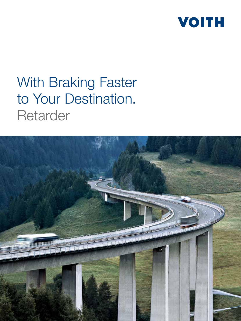

# With Braking Faster to Your Destination. **Retarder**

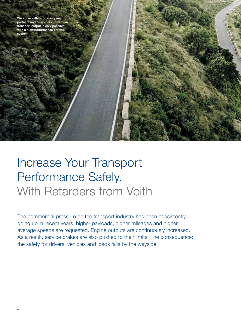We agree with our development partners and customers: maximum transport output is only possible with a high-performance braking system.

Increase Your Transport Performance Safely. With Retarders from Voith

The commercial pressure on the transport industry has been consistently going up in recent years: higher payloads, higher mileages and higher average speeds are requested. Engine outputs are continuously increased. As a result, service brakes are also pushed to their limits. The consequence: the safety for drivers, vehicles and loads falls by the wayside.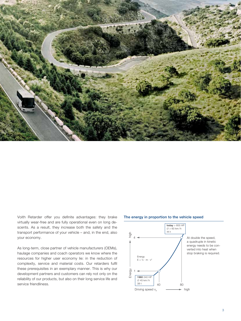

Voith Retarder offer you definite advantages: they brake virtually wear-free and are fully operational even on long descents. As a result, they increase both the safety and the transport performance of your vehicle – and, in the end, also your economy.

As long-term, close partner of vehicle manufacturers (OEMs), haulage companies and coach operators we know where the resources for higher user economy lie: in the reduction of complexity, service and material costs. Our retarders fulfil these prerequisites in an exemplary manner. This is why our development partners and customers can rely not only on the reliability of our products, but also on their long service life and service friendliness.

#### The energy in proportion to the vehicle speed

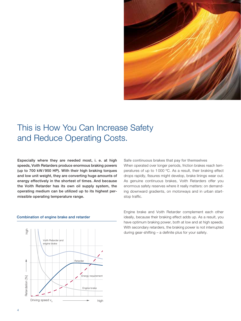

### This is How You Can Increase Safety and Reduce Operating Costs.

Especially where they are needed most, i. e. at high speeds, Voith Retarders produce enormous braking powers (up to 700 kW / 950 HP). With their high braking torques and low unit weight, they are converting huge amounts of energy effectively in the shortest of times. And because the Voith Retarder has its own oil supply system, the operating medium can be utilized up to its highest permissible operating temperature range.



#### Combination of engine brake and retarder

Safe continuous brakes that pay for themselves

When operated over longer periods, friction brakes reach temperatures of up to 1 000 ºC. As a result, their braking effect drops rapidly, fissures might develop, brake linings wear out. As genuine continuous brakes, Voith Retarders offer you enormous safety reserves where it really matters: on demanding downward gradients, on motorways and in urban startstop traffic.

Engine brake and Voith Retarder complement each other ideally, because their braking effect adds up. As a result, you have optimum braking power, both at low and at high speeds. With secondary retarders, the braking power is not interrupted during gear-shifting  $-$  a definite plus for your safety.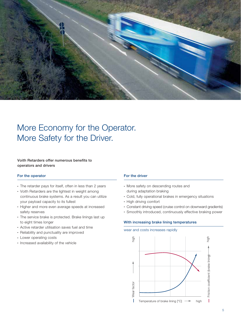

### More Economy for the Operator. More Safety for the Driver.

#### Voith Retarders offer numerous benefits to operators and drivers

#### For the operator **For the driver**

- The retarder pays for itself, often in less than 2 years
- Voith Retarders are the lightest in weight among continuous brake systems. As a result you can utilize your payload capacity to its fullest
- Higher and more even average speeds at increased safety reserves
- The service brake is protected. Brake linings last up to eight times longer
- Active retarder utilisation saves fuel and time
- Reliability and punctuality are improved
- Lower operating costs
- Increased availability of the vehicle

- More safety on descending routes and during adaptation braking
- Cold, fully operational brakes in emergency situations
- High driving comfort
- Constant driving speed (cruise control on downward gradients)
- Smoothly introduced, continuously effective braking power

#### With increasing brake lining temperatures



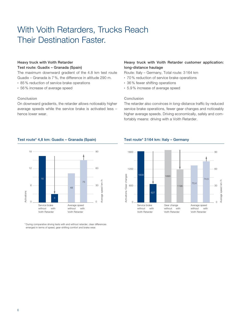## With Voith Retarders, Trucks Reach Their Destination Faster.

### Heavy truck with Voith Retarder Test route: Guadix – Granada (Spain)

The maximum downward gradient of the 4.8 km test route Guadix – Granada is 7 %, the difference in altitude 290 m.

- 85 % reduction of service brake operations
- 56 % increase of average speed

#### Conclusion

On downward gradients, the retarder allows noticeably higher average speeds while the service brake is activated less – hence lower wear.

### Heavy truck with Voith Retarder customer application: long-distance haulage

Route: Italy – Germany, Total route: 3 164 km

- 70 % reduction of service brake operations
- 36 % fewer shifting operations
- 5.9 % increase of average speed

### Conclusion

The retarder also convinces in long-distance traffic by reduced service brake operations, fewer gear changes and noticeably higher average speeds. Driving economically, safely and comfortably means: driving with a Voith Retarder.



\* During comparative driving tests with and without retarder, clear differences emerged in terms of speed, gear-shifting comfort and brake wear.

#### Test route\* 4,8 km: Guadix – Granada (Spain) Test route\* 3 164 km: Italy – Germany

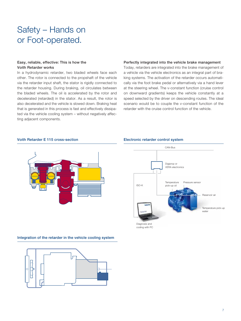## Safety – Hands on or Foot-operated.

#### Easy, reliable, effective: This is how the Voith Retarder works

In a hydrodynamic retarder, two bladed wheels face each other. The rotor is connected to the propshaft of the vehicle via the retarder input shaft, the stator is rigidly connected to the retarder housing. During braking, oil circulates between the bladed wheels. The oil is accelerated by the rotor and decelerated (retarded) in the stator. As a result, the rotor is also decelerated and the vehicle is slowed down. Braking heat that is generated in this process is fast and effectively dissipated via the vehicle cooling system – without negatively affecting adjacent components.

#### Perfectly integrated into the vehicle brake management

Today, retarders are integrated into the brake management of a vehicle via the vehicle electronics as an integral part of braking systems. The activation of the retarder occurs automatically via the foot brake pedal or alternatively via a hand lever at the steering wheel. The v-constant function (cruise control on downward gradients) keeps the vehicle constantly at a speed selected by the driver on descending routes. The ideal scenario would be to couple the v-constant function of the retarder with the cruise control function of the vehicle.

#### Voith Retarder E 115 cross-section Electronic retarder control system



#### Integration of the retarder in the vehicle cooling system





Diagnosis and coding with PC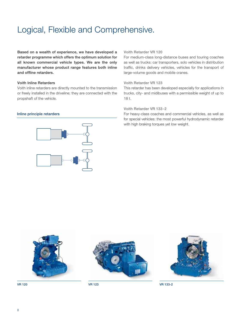## Logical, Flexible and Comprehensive.

Based on a wealth of experience, we have developed a retarder programme which offers the optimum solution for all known commercial vehicle types. We are the only manufacturer whose product range features both inline and offline retarders.

#### Voith Inline Retarders

Voith inline retarders are directly mounted to the transmission or freely installed in the driveline; they are connected with the propshaft of the vehicle.

#### Inline principle retarders



#### Voith Retarder VR 120

For medium-class long-distance buses and touring coaches as well as trucks: car transporters, solo vehicles in distribution traffic, drinks delivery vehicles, vehicles for the transport of large-volume goods and mobile cranes.

#### Voith Retarder VR 123

This retarder has been developed especially for applications in trucks, city- and midibuses with a permissible weight of up to 18 t.

#### Voith Retarder VR 133-2

For heavy-class coaches and commercial vehicles, as well as for special vehicles: the most powerful hydrodynamic retarder with high braking torques yet low weight.









VR 120 VR 123 VR 133-2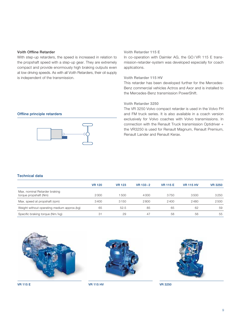#### Voith Offline Retarder

With step-up retarders, the speed is increased in relation to the propshaft speed with a step-up gear. They are extremely compact and provide enormously high braking outputs even at low driving speeds. As with all Voith Retarders, their oil supply is independent of the transmission.

#### Voith Retarder 115 E

In co-operation with Daimler AG, the GO/VR 115 E transmission-retarder-system was developed especially for coach applications.

#### Voith Retarder 115 HV

This retarder has been developed further for the Mercedes-Benz commercial vehicles Actros and Axor and is installed to the Mercedes-Benz transmission PowerShift.

#### Voith Retarder 3250

Offline principle retarders



The VR 3250 Volvo compact retarder is used in the Volvo FH and FM truck series. It is also available in a coach version exclusively for Volvo coaches with Volvo transmissions. In connection with the Renault Truck transmission Optidriver + the VR3250 is used for Renault Magnum, Renault Premium, Renault Lander and Renault Kerax.

#### Technical data

|                                                        | <b>VR 120</b> | <b>VR 123</b> | VR 133-2 | <b>VR 115 E</b> | <b>VR 115 HV</b> | <b>VR 3250</b> |
|--------------------------------------------------------|---------------|---------------|----------|-----------------|------------------|----------------|
| Max. nominal Retarder braking<br>torque propshaft (Nm) | 2000          | 1500          | 4000     | 3750            | 3500             | 3250           |
| Max. speed at propshaft (rpm)                          | 3400          | 3150          | 2800     | 2400            | 2480             | 2500           |
| Weight without operating medium approx.(kg)            | 65            | 52.5          | 85       | 65              | 62               | 59             |
| Specific braking torque (Nm/kg)                        | 31            | 29            | 47       | 58              | 56               | 55             |





VR 115 E VR 115 HV VR 3250

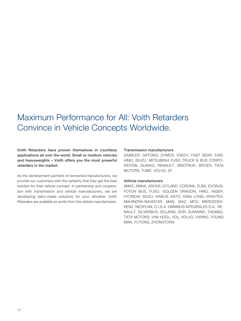### Maximum Performance for All: Voith Retarders Convince in Vehicle Concepts Worldwide.

Voith Retarders have proven themselves in countless applications all over the world. Small or medium vehicles and heavyweights – Voith offers you the most powerful retarders in the market.

As the development partners of renowned manufacturers, we provide our customers with the certainty that they get the best solution for their vehicle concept. In partnership and cooperation with transmission and vehicle manufacturers, we are developing tailor-made solutions for your driveline. Voith Retarders are available ex works from the vehicle manufacturers.

#### Transmission manufacturers

DAIMLER, DATONG, DYMOS, EXEDY, FAST GEAR, FAW, HINO, ISUZU, MITSUBISHI FUSO TRUCK & BUS CORPO-RATION, QIJINAG, RENAULT, SINOTRUK, SPICER, TATA MOTORS, TUMZ, VOLVO, ZF

#### Vehicle manufacturers

AMAZ, ANKAI, ASHOK LEYLAND, CORONA, ELBA, EVOBUS, FOTON BUS, FUSO, GOLDEN DRAGON, HINO, HIGER, HYUNDAI, ISUZU, KABUS, KATO, KING LONG, KRAVTEX, MAHINDRA-NAVISTAR, MAN, MAZ, MCV, MERCEDES-BENZ, NEOPLAN, O.I.S.A. OMNIBUS INTEGRALES S.A., RE-NAULT, SILVERBUS, SOLARIS, SOR, SUNWIND, TADANO, TATA MOTORS, VAN HOOL, VDL, VOLVO, YAXING, YOUNG MAN, YUTONG, ZHONGTONG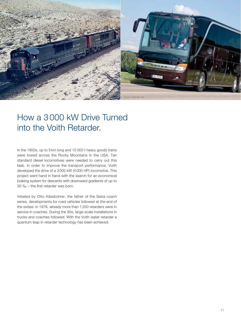

### How a 3 000 kW Drive Turned into the Voith Retarder.

In the 1950s, up to 5 km long and 10 000 t heavy goods trains were towed across the Rocky Mountains in the USA. Ten standard diesel locomotives were needed to carry out this task. In order to improve the transport performance, Voith developed the drive of a 3 000 kW (4 000 HP) locomotive. This project went hand in hand with the search for an economical braking system for descents with downward gradients of up to  $30\% -$  the first retarder was born.

Initiated by Otto Kässbohrer, the father of the Setra coach series, developments for road vehicles followed at the end of the sixties: in 1978, already more than 1 200 retarders were in service in coaches. During the 90s, large-scale installations in trucks and coaches followed. With the Voith water retarder a quantum leap in retarder technology has been achieved.